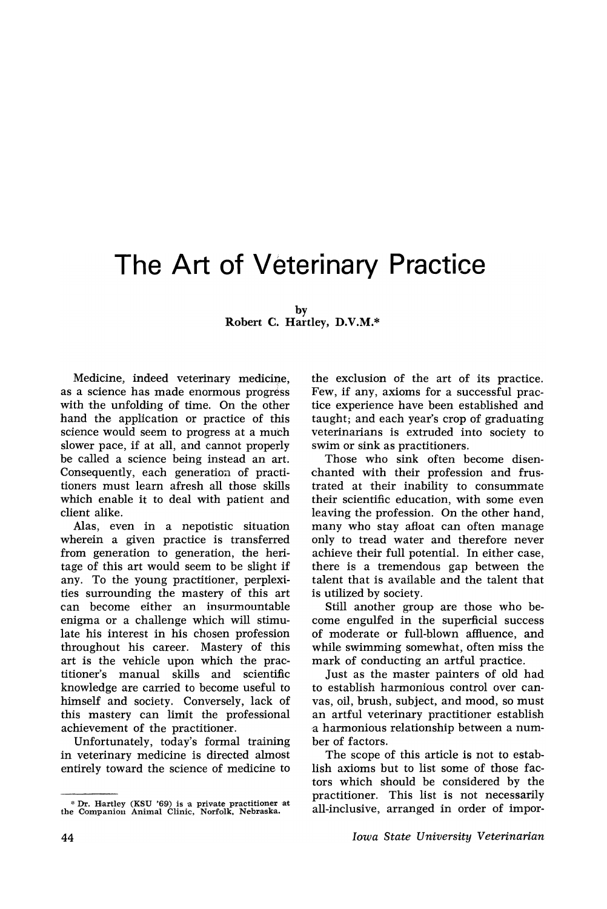## The Art of Veterinary Practice

by Robert C. Hartley, D.V.M.\*

Medicine, indeed veterinary medicine, as a science has made enormous progress with the unfolding of time. On the other hand the application or practice of this science would seem to progress at a much slower pace, if at all, and cannot properly be called a science being instead an art. Consequently, each generation of practitioners must learn afresh all those skills which enable it to deal with patient and client alike.

Alas, even in a nepotistic situation wherein a given practice is transferred from, generation to generation, the heritage of this art would seem to be slight if any. To the young practitioner, perplexities surrounding the mastery of this art can become either an insurmountable enigma or a challenge which will stimulate his interest in his chosen profession throughout his career. Mastery of this art is the vehicle upon which the practitioner's manual skills and scientific knowledge are carried to become useful to himself and society. Conversely, lack of this mastery can limit the professional achievement of the practitioner.

Unfortunately, today's formal training in veterinary medicine is directed almost entirely toward the science of medicine to

\* Dr. Hartley (KSU '69) is a private practitioner at the Companion Animal Clinic, Norfolk, Nebraska.

the exclusion of the art of its practice. Few, if any, axioms for a successful practice experience have been established and taught; and each year's crop of graduating veterinarians is extruded into society to swim or sink as practitioners.

Those who sink often become disenchanted with their profession and frustrated at their inability to consummate their scientific education, with some even leaving the profession. On the other hand, many who stay afloat can often manage only to tread water and therefore never achieve their full potential. In either case, there is a tremendous gap between the talent that is available and the talent that is utilized by society.

Still another group are those who become engulfed in the superficial success of moderate or full-blown affluence, and while swimming somewhat, often miss the mark of conducting an artful practice.

Just as the master painters of old had to establish harmonious control over canvas, oil, brush, subject, and mood, so must an artful veterinary practitioner establish a harmonious relationship between a number of factors.

The scope of this article is not to establish axioms but to list some of those factors which should be considered by the practitioner. This list is not necessarily all-inclusive, arranged in order of impor-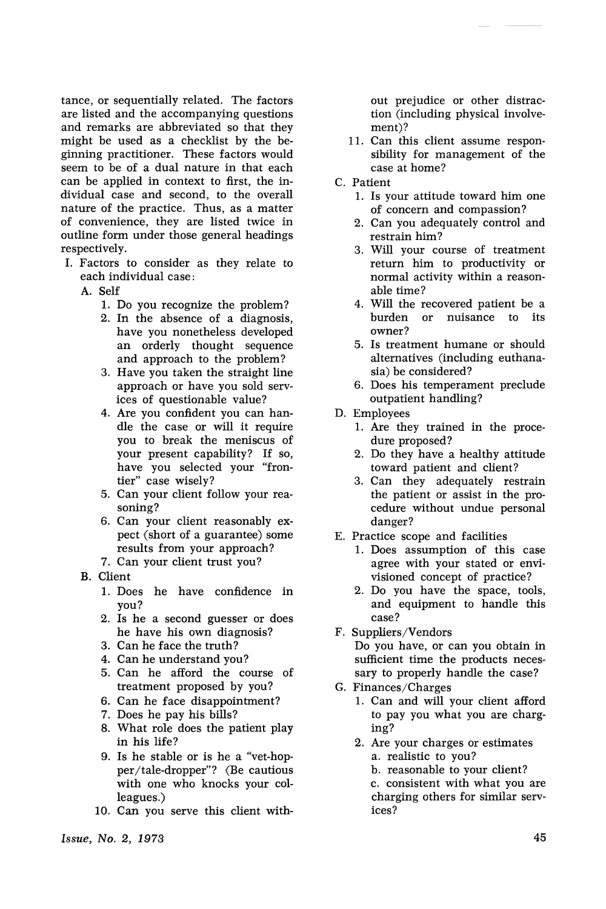tance, or sequentially related. The factors are listed and the accompanying questions and remarks are abbreviated so that they might be used as a checklist by the beginning practitioner. These factors would seem to be of a dual nature in that each can be applied in context to first, the individual case and second, to the overall nature of the practice. Thus, as a matter of convenience, they are listed twice in outline form under those general headings respectively.

- I. Factors to consider as they relate to each individual case:
	- A. Self
		- 1. Do you recognize the problem?
		- 2. In the absence of a diagnosis, have you nonetheless developed an orderly thought sequence and approach to the problem?
		- 3. Have you taken the straight line approach or have you sold services of questionable value?
		- 4. Are you confident you can handle the case or will it require you to break the meniscus of your present capability? If so, have you selected your "frontier" case wisely?
		- 5. Can your client follow your rea~ soning?
		- 6. Can your client reasonably expect (short of a guarantee) some results from your approach?
		- 7. Can your client trust you?
	- B. Client
		- 1. Does he have confidence in you?
		- 2. Is he a second guesser or does he have his own diagnosis?
		- 3. Can he face the truth?
		- 4. Can he understand you?
		- 5. Can he afford the course of treatment proposed by you?
		- 6. Can he face disappointment?
		- 7. Does he pay his bills?
		- 8. What role does the patient play in his life?
		- 9. Is he stable or is he a "vet-hopper/tale-dropper"? (Be cautious with one who knocks your colleagues.)
		- 10. Can you serve this client with-

out prejudice or other distraction. (including physical involvement)?

- 11. Can this client assume responsibility for management of the case at home?
- C. Patient
	- 1. Is your attitude toward him one of concern and compassion?
	- 2. Can you adequately control and restrain him?
	- 3. Will your course of treatment return him to productivity or normal activity within a reasonable time?
	- 4. Will the recovered patient be a<br>burden or nuisance to its burden or nuisance owner?
	- 5. Is treatment humane or should alternatives (including euthanasia) be considered?
	- 6. Does his temperament preclude outpatient handling?
- D. Employees
	- 1. Are they trained in the procedure proposed?
	- 2. Do they have a healthy attitude toward patient and client?
	- 3. Can they adequately restrain the patient or assist in the procedure without undue personal danger?
- E. Practice scope and facilities
	- 1. Does assumption of this case agree with your stated or envivisioned concept of practice?
	- 2. Do you have the space, tools, and equipment to handle this case?
- F. Suppliers/Vendors

Do you have, or can you obtain in sufficient time the products necessary to properly handle the case?

- G. Finances/Charges
	- 1. Can and will your client afford to pay you what you are charging?
	- 2. Are your charges or estimates a. realistic to you?
		- b. reasonable to your client?
		- c. consistent with what you are charging others for similar services?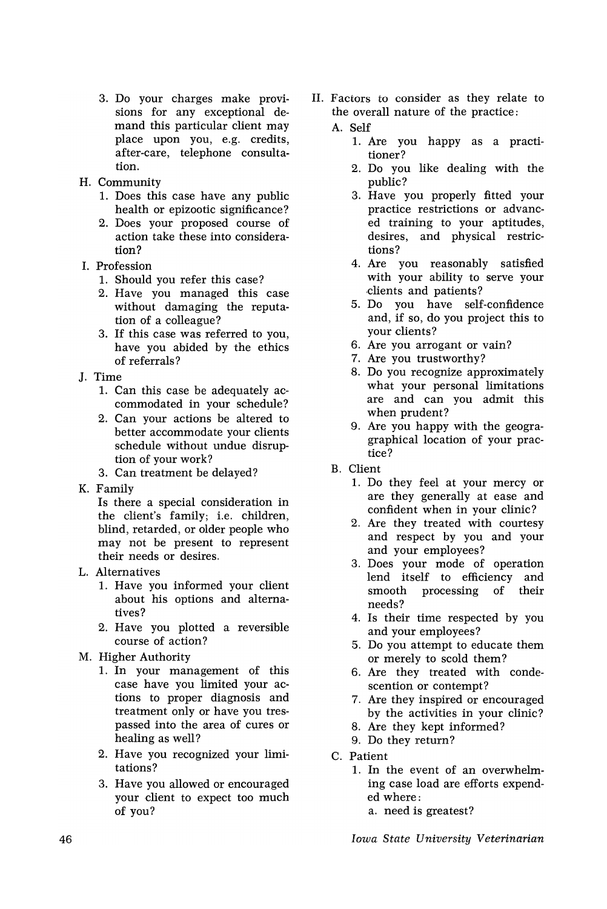- 3. Do your charges make provisions for any exceptional demand this particular client may place upon you, e.g. credits, after-care, telephone consultation.
- H. Community
	- 1. Does this case have any public health or epizootic significance?
	- 2. Does your proposed course of action take these into consideration?
- I. Profession
	- 1. Should you refer this case?
	- 2. Have you managed this case without damaging the reputation of a colleague?
	- 3. If this case was referred to you, have you abided by the ethics of referrals?
- J. Time
	- 1. Can this case be adequately accommodated in your schedule?
	- 2. Can your actions be altered to better accommodate your clients schedule without undue disruption of your work?
	- 3. Can treatment be delayed?
- K. Family

Is there a special consideration in the client's family; i.e. children, blind, retarded, or older people who may not be present to represent their needs or desires.

- L. Alternatives
	- 1. Have you informed your client about his options and alternatives?
	- 2. Have you plotted a reversible course of action?
- M. Higher Authority
	- 1. In your management of this case have you limited your actions to proper diagnosis and treatment only or have you trespassed into the area of cures or healing as well?
	- 2. Have you recognized your limitations?
	- 3. Have you allowed or encouraged your client to expect too much of you?

II. Factors to consider as they relate to the overall nature of the practice:

## A. Self

- 1. Are you happy as a practitioner?
- 2. Do you like dealing with the public?
- 3. Have you properly fitted your practice restrictions or advanced training to your aptitudes, desires, and physical restrictions?
- 4. Are you reasonably satisfied with your ability to serve your clients and patients?
- 5. Do you have self-confidence and, if so, do you project this to your clients?
- 6. Are you arrogant or vain?
- 7. Are you trustworthy?
- 8. Do you recognize approximately what your personal limitations are and can you admit this when prudent?
- 9. Are you happy with the geogragraphical location of your practice?
- B. Client
	- 1. Do they feel at your mercy or are they generally at ease and confident when in your clinic?
	- 2. Are they treated with courtesy and respect by you and your and your employees?
	- 3. Does your mode of operation lend itself to efficiency and processing of needs?
	- 4. Is their time respected by you and your employees?
	- 5. Do you attempt to educate them or merely to scold them?
	- 6. Are they treated with condescention or contempt?
	- 7. Are they inspired or encouraged by the activities in your clinic?
	- 8. Are they kept informed?
	- 9. Do they return?
- C. Patient
	- 1. In the event of an overwhelming case load are efforts expended where:
		- a. need is greatest?

*Iowa State University Veterinarian*